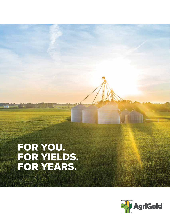# FOR YOU.<br>FOR YIELDS.<br>FOR YEARS.

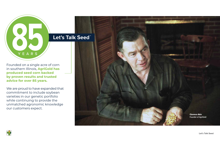## Let's Talk Seed<sup>®</sup>

Founded on a single acre of corn in southern Illinois, **AgriGold has produced seed corn backed by proven results and trusted advice for over 85 years.** 

We are proud to have expanded that commitment to include soybean varieties in our genetic portfolio while continuing to provide the unmatched agronomic knowledge our customers expect.





YEARS

**Let's Talk Seed**

Clarence Akin **Founder of AgriGold**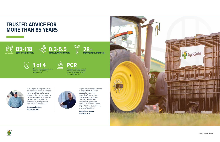

**1 of 4** Companies developing new inbreds & proprietary germplasms

**PCR** Products are locally tested through a Pre-Commercial Research (PCR) Program

and on-farm trials







## **TRUSTED ADVICE FOR MORE THAN 85 YEARS**

**Let's Talk Seed**

"Our AgriGold agronomist and district sales manager have enabled us to have success that in the past we only dreamed of. AgriGold genetics have given us consistent, exceptional results year after year."

**Jonathan Borges, Marshall, MO** 



"AgriGold's independence is important. It allows access to a pool of genetics from various places and the ability to bring those new proprietary genetics right to our farm. That's important to our success and profitability."

**Jason Reichenbach, Greenfield, IN** 



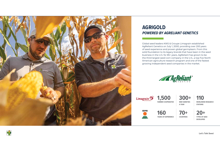

# **AGRIGOLD**  *POWERED BY AGRELIANT GENETICS*

Global seed leaders KWS & Groupe Limagrain established AgReliant Genetics on July 1, 2000, providing over 200 years of seed experience and proven global germplasm. From this solid foundation to its legacy brands that have been in the seed business in the U.S. for 85+ years, AgReliant has grown to be the third largest seed corn company in the U.S., a top five North American agriculture research program and one of the fastest growing independent seed companies in the market.

**Limagrain** 

**Let's Talk Seed**

**1,500 FARMER COOPERATIVE**

**KWS** 





TO **160**<br>YEARS OF EXPERIENCE COUNTRIES TYPES OF SEED **YEARS OF EXPERIENCE** 

**300+ 110 NEW VARIETIES A YEAR**

**DEVELOPED**

**WORLDWIDE RESEARCH STATIONS**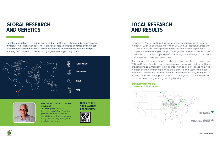## **GLOBAL RESEARCH AND GENETICS**

## **LOCAL RESEARCH AND RESULTS**

Genetic research and hybrid development are at the core of AgriGold's success. As a division of AgReliant Genetics, AgriGold has access to unique genetics and a global research and testing network; AgReliant Genetics' corn breeders develop and pair our very best inbreds to handle nearly any condition you might face.

> **Dr. Peter Lynch**, the VP of Research for AgReliant Genetics, gives a behind-the-scenes look into all of the work and processes that go into creating new hybrids to help farmers grow.

#### **WHAT DOES IT TAKE TO CREATE A HYBRID?**

#### **LISTEN TO THE YIELD MASTERS PODCAST NOW.**







Powered by AgReliant Genetics, our pre-commercial research system includes 480 trials spanning more than 200 unique locations across the U.S. This gives AgriGold Representatives the knowledge to provide a complete understanding of our products genetic and trait performance in addition to how each hybrid performs locally, to address your particular challenges and meet your exact needs.

Since launching this enhanced method of commercial corn research in 2017, AgReliant Genetics tested twice as many new hybrids than with our previous pre-commercial testing approach, in addition to realizing a huge increase in the number of planned trials planted and usable trial data collected. This system reduces variables, increases accuracy and gives us an even more authentic pulse on short and long-term market needs to continue developing industry-leading hybrids.

#### **NORTH AMERICAN PCR AND COMMERCIAL TESTING LOCATIONS**



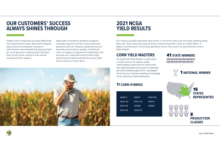## **OUR CUSTOMERS' SUCCESS ALWAYS SHINES THROUGH**

## **2021 NCGA YIELD RESULTS**

### 41 **STATE WINNERS**



## **11 CORN HYBRIDS**

# 8 **PRODUCTION CLASSES**



Today's farm measures success differently from generations past. New technologies, data science and greater access to information have leveled the playing field for most growers, making each decision that much more critical in the overall success of their season.

AgriGold's innovative research program is producing some of the most advanced genetics with an industry-leading focus on diversity and product quality. Combined with our legacy of agronomic expertise, this ensures our customers they'll have highperformance hybrid options for every yield environment on their farm.



# Our most successful growers have more in common than just the high-yielding seed

they use. That's because they all know maximizing their acres is a team effort. It takes a combination of the best genetics, know-how and true partnership to be a Yield Master.

## **CORN YIELD MASTERS**

An AgriGold Yield Master is relentless in their pursuit of higher yields. Yield Masters work hand-in-hand with the AgriGold agronomy team to develop ground-breaking agronomic strategies, driven by our industry-leading knowledge of our premium hybrid genetics.

| A6572   | A647-90 |
|---------|---------|
| A647-42 | A6544   |
| A6499   | A6659   |
| A645-16 |         |
|         |         |



**Let's Talk Seed**